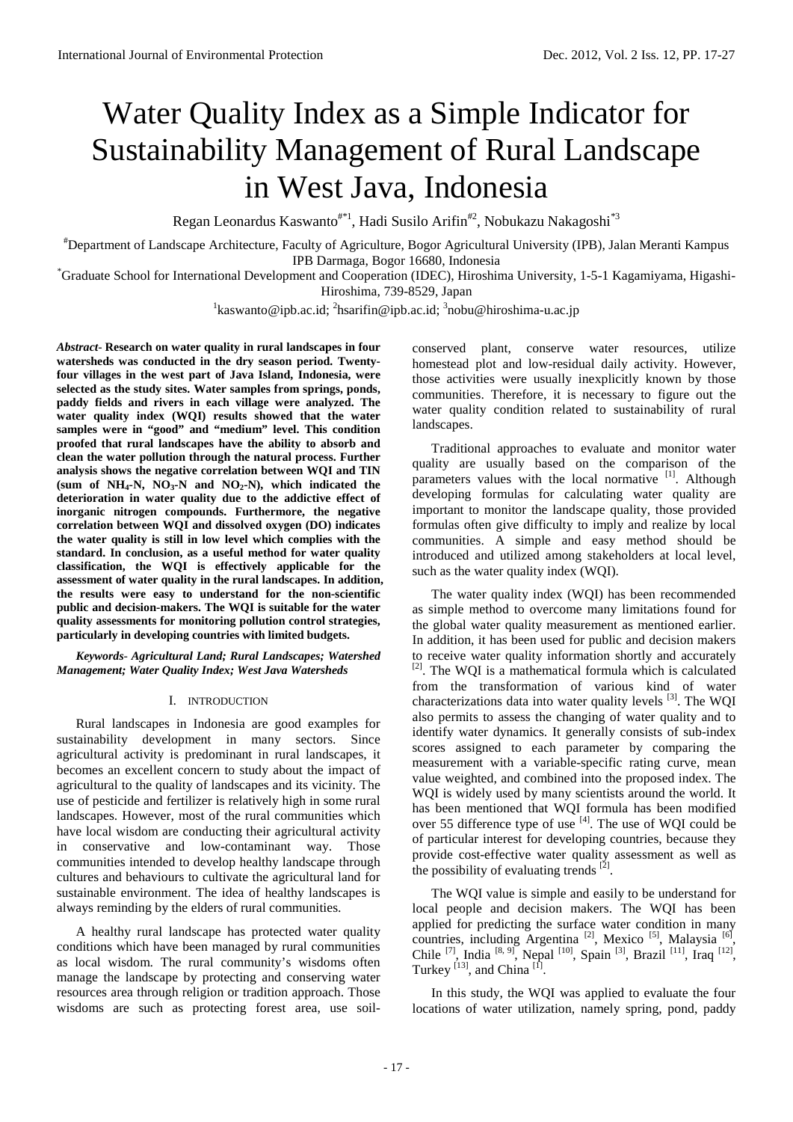# Water Quality Index as a Simple Indicator for Sustainability Management of Rural Landscape in West Java, Indonesia

Regan Leonardus Kaswanto<sup>#\*1</sup>, Hadi Susilo Arifin<sup>#2</sup>, Nobukazu Nakagoshi<sup>\*3</sup>

# Department of Landscape Architecture, Faculty of Agriculture, Bogor Agricultural University (IPB), Jalan Meranti Kampus

IPB Darmaga, Bogor 16680, Indonesia \* Graduate School for International Development and Cooperation (IDEC), Hiroshima University, 1-5-1 Kagamiyama, Higashi-Hiroshima, 739-8529, Japan

<sup>1</sup>kaswanto@ipb.ac.id; <sup>2</sup>hsarifin@ipb.ac.id; <sup>3</sup>nobu@hiroshima-u.ac.jp

*Abstract*- **Research on water quality in rural landscapes in four watersheds was conducted in the dry season period. Twentyfour villages in the west part of Java Island, Indonesia, were selected as the study sites. Water samples from springs, ponds, paddy fields and rivers in each village were analyzed. The water quality index (WQI) results showed that the water samples were in "good" and "medium" level. This condition proofed that rural landscapes have the ability to absorb and clean the water pollution through the natural process. Further analysis shows the negative correlation between WQI and TIN**  (sum of  $NH_4-N$ ,  $NO_3-N$  and  $NO_2-N$ ), which indicated the **deterioration in water quality due to the addictive effect of inorganic nitrogen compounds. Furthermore, the negative correlation between WQI and dissolved oxygen (DO) indicates the water quality is still in low level which complies with the standard. In conclusion, as a useful method for water quality classification, the WQI is effectively applicable for the assessment of water quality in the rural landscapes. In addition, the results were easy to understand for the non-scientific public and decision-makers. The WQI is suitable for the water quality assessments for monitoring pollution control strategies, particularly in developing countries with limited budgets.**

*Keywords*- *Agricultural Land; Rural Landscapes; Watershed Management; Water Quality Index; West Java Watersheds*

## I. INTRODUCTION

Rural landscapes in Indonesia are good examples for sustainability development in many sectors. Since agricultural activity is predominant in rural landscapes, it becomes an excellent concern to study about the impact of agricultural to the quality of landscapes and its vicinity. The use of pesticide and fertilizer is relatively high in some rural landscapes. However, most of the rural communities which have local wisdom are conducting their agricultural activity in conservative and low-contaminant way. Those communities intended to develop healthy landscape through cultures and behaviours to cultivate the agricultural land for sustainable environment. The idea of healthy landscapes is always reminding by the elders of rural communities.

A healthy rural landscape has protected water quality conditions which have been managed by rural communities as local wisdom. The rural community's wisdoms often manage the landscape by protecting and conserving water resources area through religion or tradition approach. Those wisdoms are such as protecting forest area, use soil-

conserved plant, conserve water resources, utilize homestead plot and low-residual daily activity. However, those activities were usually inexplicitly known by those communities. Therefore, it is necessary to figure out the water quality condition related to sustainability of rural landscapes.

Traditional approaches to evaluate and monitor water quality are usually based on the comparison of the parameters values with the local normative [1]. Although developing formulas for calculating water quality are important to monitor the landscape quality, those provided formulas often give difficulty to imply and realize by local communities. A simple and easy method should be introduced and utilized among stakeholders at local level, such as the water quality index (WQI).

The water quality index (WQI) has been recommended as simple method to overcome many limitations found for the global water quality measurement as mentioned earlier. In addition, it has been used for public and decision makers to receive water quality information shortly and accurately  $[2]$ . The WOI is a mathematical formula which is calculated from the transformation of various kind of water characterizations data into water quality levels [3]. The WQI also permits to assess the changing of water quality and to identify water dynamics. It generally consists of sub-index scores assigned to each parameter by comparing the measurement with a variable-specific rating curve, mean value weighted, and combined into the proposed index. The WQI is widely used by many scientists around the world. It has been mentioned that WQI formula has been modified over 55 difference type of use  $[4]$ . The use of WQI could be of particular interest for developing countries, because they provide cost-effective water quality assessment as well as the possibility of evaluating trends  $^{[2]}$ .

The WQI value is simple and easily to be understand for local people and decision makers. The WQI has been applied for predicting the surface water condition in many countries, including Argentina<sup>[2]</sup>, Mexico<sup>[5]</sup>, Malaysia<sup>[6]</sup>, Chile <sup>[7]</sup>, India <sup>[8, 9]</sup>, Nepal <sup>[10]</sup>, Spain <sup>[3]</sup>, Brazil<sup>[11]</sup>, Iraq<sup>[12]</sup>, Turkey<sup>[13]</sup>, and China<sup>[1]</sup>.

In this study, the WQI was applied to evaluate the four locations of water utilization, namely spring, pond, paddy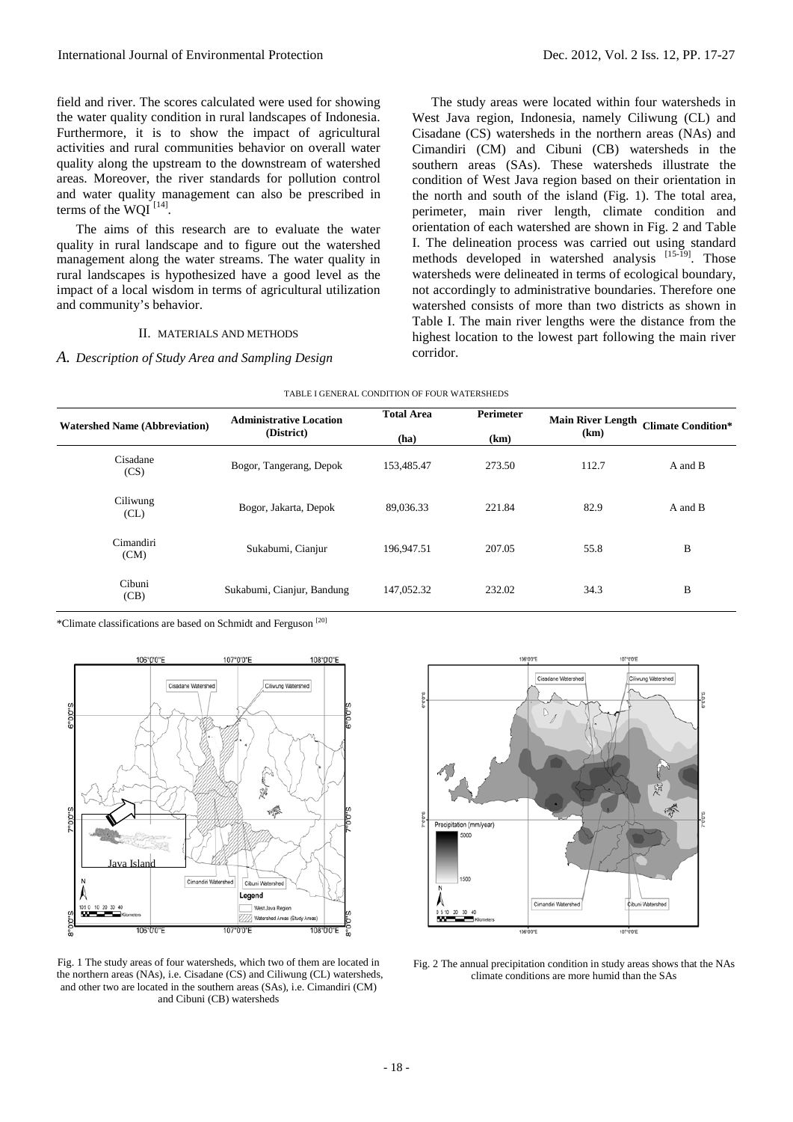field and river. The scores calculated were used for showing the water quality condition in rural landscapes of Indonesia. Furthermore, it is to show the impact of agricultural activities and rural communities behavior on overall water quality along the upstream to the downstream of watershed areas. Moreover, the river standards for pollution control and water quality management can also be prescribed in terms of the WQI $^{[14]}$ .

The aims of this research are to evaluate the water quality in rural landscape and to figure out the watershed management along the water streams. The water quality in rural landscapes is hypothesized have a good level as the impact of a local wisdom in terms of agricultural utilization and community's behavior.

# II. MATERIALS AND METHODS

# *A. Description of Study Area and Sampling Design*

The study areas were located within four watersheds in West Java region, Indonesia, namely Ciliwung (CL) and Cisadane (CS) watersheds in the northern areas (NAs) and Cimandiri (CM) and Cibuni (CB) watersheds in the southern areas (SAs). These watersheds illustrate the condition of West Java region based on their orientation in the north and south of the island (Fig. 1). The total area, perimeter, main river length, climate condition and orientation of each watershed are shown in Fig. 2 and Table I. The delineation process was carried out using standard methods developed in watershed analysis [15-19]. Those watersheds were delineated in terms of ecological boundary, not accordingly to administrative boundaries. Therefore one watershed consists of more than two districts as shown in Table I. The main river lengths were the distance from the highest location to the lowest part following the main river corridor.

| <b>Watershed Name (Abbreviation)</b> | <b>Administrative Location</b><br>(District) | <b>Total Area</b><br>(ha) | <b>Perimeter</b><br>(km) | <b>Main River Length</b><br>(km) | <b>Climate Condition*</b> |
|--------------------------------------|----------------------------------------------|---------------------------|--------------------------|----------------------------------|---------------------------|
| Cisadane<br>(CS)                     | Bogor, Tangerang, Depok                      | 153,485.47                | 273.50                   | 112.7                            | A and B                   |
| Ciliwung<br>CL)                      | Bogor, Jakarta, Depok                        | 89.036.33                 | 221.84                   | 82.9                             | A and B                   |
| Cimandiri<br>(CM)                    | Sukabumi, Cianjur                            | 196,947.51                | 207.05                   | 55.8                             | B                         |
| Cibuni<br>(CB)                       | Sukabumi, Cianjur, Bandung                   | 147,052.32                | 232.02                   | 34.3                             | B                         |

TABLE I GENERAL CONDITION OF FOUR WATERSHEDS

\*Climate classifications are based on Schmidt and Ferguson [20]



Fig. 1 The study areas of four watersheds, which two of them are located in the northern areas (NAs), i.e. Cisadane (CS) and Ciliwung (CL) watersheds, and other two are located in the southern areas (SAs), i.e. Cimandiri (CM) and Cibuni (CB) watersheds



Fig. 2 The annual precipitation condition in study areas shows that the NAs climate conditions are more humid than the SAs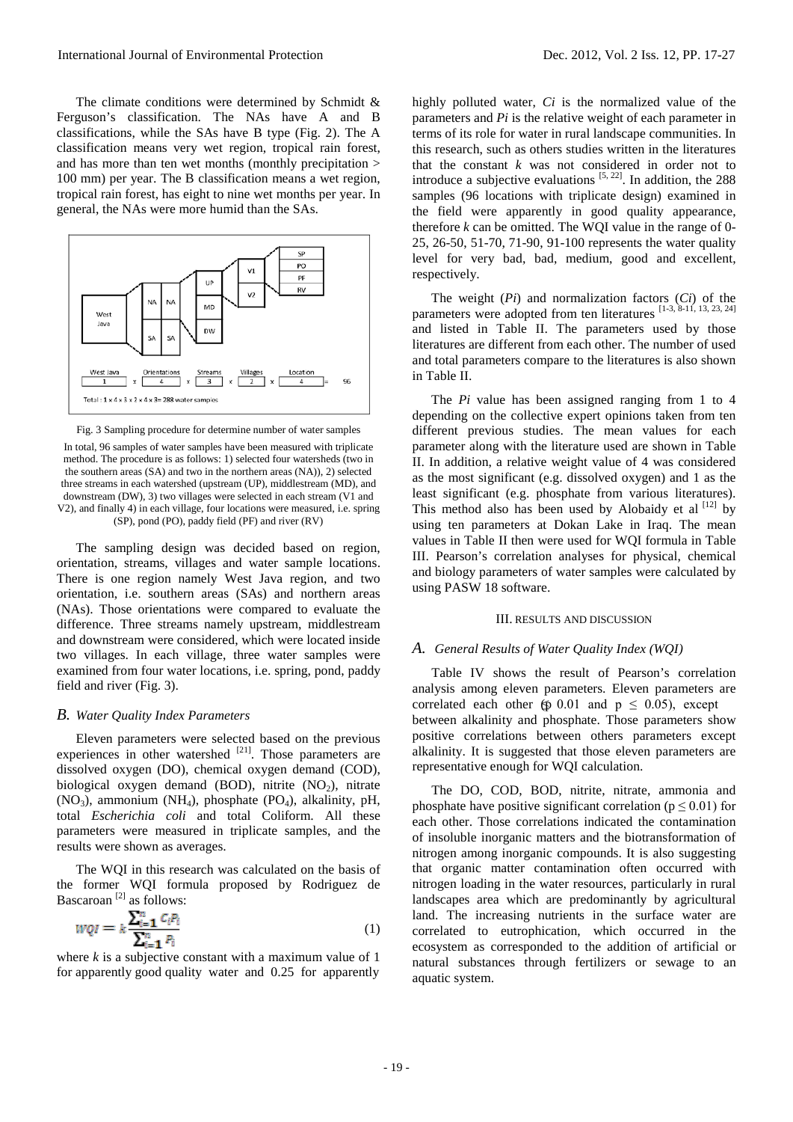The climate conditions were determined by Schmidt & Ferguson's classification. The NAs have A and B classifications, while the SAs have B type (Fig. 2). The A classification means very wet region, tropical rain forest, and has more than ten wet months (monthly precipitation > 100 mm) per year. The B classification means a wet region, tropical rain forest, has eight to nine wet months per year. In general, the NAs were more humid than the SAs.



Fig. 3 Sampling procedure for determine number of water samples

In total, 96 samples of water samples have been measured with triplicate method. The procedure is as follows: 1) selected four watersheds (two in the southern areas (SA) and two in the northern areas (NA)), 2) selected three streams in each watershed (upstream (UP), middlestream (MD), and downstream (DW), 3) two villages were selected in each stream (V1 and V2), and finally 4) in each village, four locations were measured, i.e. spring (SP), pond (PO), paddy field (PF) and river (RV)

The sampling design was decided based on region, orientation, streams, villages and water sample locations. There is one region namely West Java region, and two orientation, i.e. southern areas (SAs) and northern areas (NAs). Those orientations were compared to evaluate the difference. Three streams namely upstream, middlestream and downstream were considered, which were located inside two villages. In each village, three water samples were examined from four water locations, i.e. spring, pond, paddy field and river (Fig. 3).

## *B. Water Quality Index Parameters*

Eleven parameters were selected based on the previous experiences in other watershed  $^{[21]}$ . Those parameters are dissolved oxygen (DO), chemical oxygen demand (COD), biological oxygen demand (BOD), nitrite  $(NO<sub>2</sub>)$ , nitrate  $(NO_3)$ , ammonium  $(NH_4)$ , phosphate  $(PO_4)$ , alkalinity, pH, total *Escherichia coli* and total Coliform. All these parameters were measured in triplicate samples, and the results were shown as averages.

The WQI in this research was calculated on the basis of the former WQI formula proposed by Rodriguez de Bascaroan [2] as follows:

$$
wqr = k \frac{\sum_{i=1}^{n} C_i P_i}{\sum_{i=1}^{n} P_i}
$$
\n
$$
\tag{1}
$$

where *k* is a subjective constant with a maximum value of 1 for apparently good quality water and 0.25 for apparently

highly polluted water, *Ci* is the normalized value of the parameters and *Pi* is the relative weight of each parameter in terms of its role for water in rural landscape communities. In this research, such as others studies written in the literatures that the constant *k* was not considered in order not to introduce a subjective evaluations  $[5, 22]$ . In addition, the 288 samples (96 locations with triplicate design) examined in the field were apparently in good quality appearance, therefore *k* can be omitted. The WQI value in the range of 0- 25, 26-50, 51-70, 71-90, 91-100 represents the water quality level for very bad, bad, medium, good and excellent, respectively.

The weight (*Pi*) and normalization factors (*Ci*) of the parameters were adopted from ten literatures [1-3, 8-11, 13, 23, 24] and listed in Table II. The parameters used by those literatures are different from each other. The number of used and total parameters compare to the literatures is also shown in Table II.

The *Pi* value has been assigned ranging from 1 to 4 depending on the collective expert opinions taken from ten different previous studies. The mean values for each parameter along with the literature used are shown in Table II. In addition, a relative weight value of 4 was considered as the most significant (e.g. dissolved oxygen) and 1 as the least significant (e.g. phosphate from various literatures). This method also has been used by Alobaidy et al  $[12]$  by using ten parameters at Dokan Lake in Iraq. The mean values in Table II then were used for WQI formula in Table III. Pearson's correlation analyses for physical, chemical and biology parameters of water samples were calculated by using PASW 18 software.

### III. RESULTS AND DISCUSSION

## *A. General Results of Water Quality Index (WQI)*

Table IV shows the result of Pearson's correlation analysis among eleven parameters. Eleven parameters are correlated each other  $(p 0.01$  and  $p \le 0.05)$ , except between alkalinity and phosphate. Those parameters show positive correlations between others parameters except alkalinity. It is suggested that those eleven parameters are representative enough for WQI calculation.

The DO, COD, BOD, nitrite, nitrate, ammonia and phosphate have positive significant correlation ( $p \leq 0.01$ ) for each other. Those correlations indicated the contamination of insoluble inorganic matters and the biotransformation of nitrogen among inorganic compounds. It is also suggesting that organic matter contamination often occurred with nitrogen loading in the water resources, particularly in rural landscapes area which are predominantly by agricultural land. The increasing nutrients in the surface water are correlated to eutrophication, which occurred in the ecosystem as corresponded to the addition of artificial or natural substances through fertilizers or sewage to an aquatic system.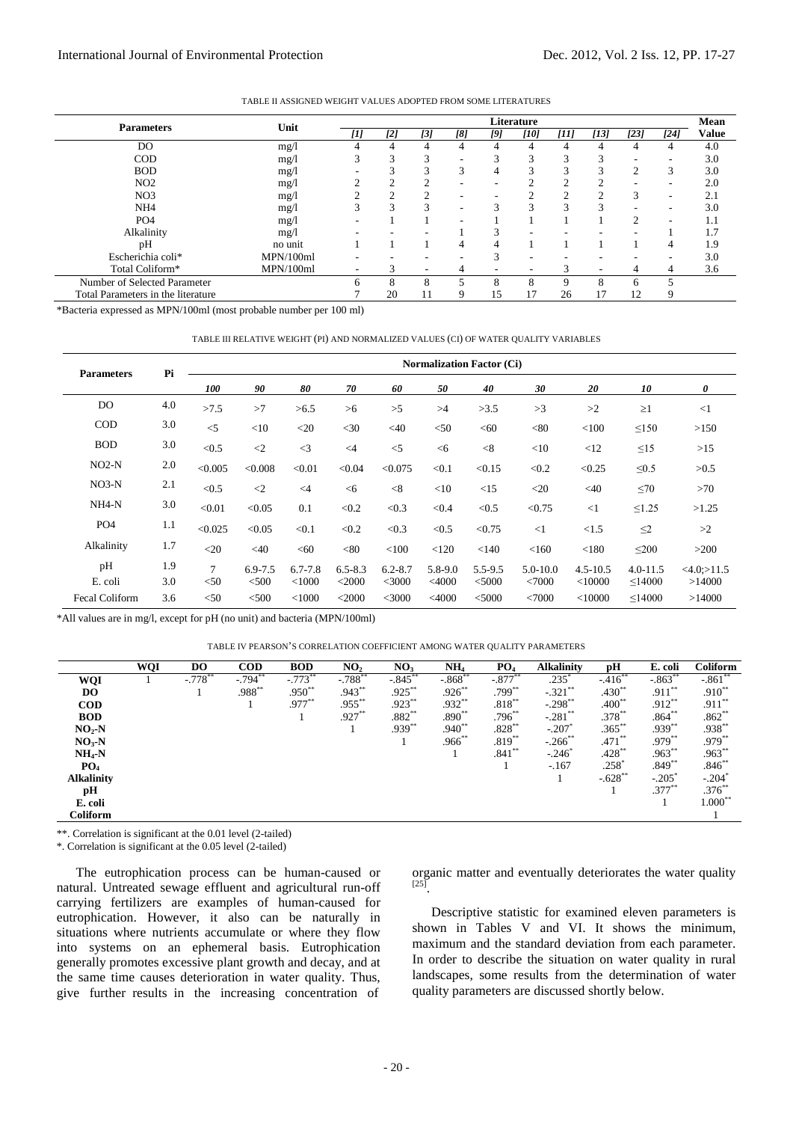TABLE II ASSIGNED WEIGHT VALUES ADOPTED FROM SOME LITERATURES

|                                    |           | Literature |        |               |                          |                          |                          |      |                 |                          | Mean                     |              |
|------------------------------------|-----------|------------|--------|---------------|--------------------------|--------------------------|--------------------------|------|-----------------|--------------------------|--------------------------|--------------|
| <b>Parameters</b>                  | Unit      | [1]        | [2]    | [3]           | [8]                      | [9]                      | [10]                     | [11] | [13]            | [23]                     | $[24]$                   | <b>Value</b> |
| DO.                                | mg/1      |            |        | 4             | $\overline{4}$           | $\overline{4}$           | 4                        | 4    | 4               | 4                        | 4                        | 4.0          |
| $\rm COD$                          | mg/1      |            | 3      | 3             | $\overline{\phantom{a}}$ | 3                        | 3                        | 3    | $\sqrt{2}$<br>3 | ۰                        | ۰                        | 3.0          |
| <b>BOD</b>                         | mg/1      |            | 3      | 3             | 3                        | 4                        | 3                        | 3    | 3               | 2                        | 3                        | 3.0          |
| NO2                                | mg/l      |            |        | $\mathcal{D}$ | $\overline{\phantom{a}}$ | ۰                        | C                        | ↑    |                 | $\overline{\phantom{a}}$ | $\overline{\phantom{a}}$ | 2.0          |
| NO <sub>3</sub>                    | mg/1      |            | $\sim$ | $\mathcal{L}$ | $\overline{\phantom{a}}$ | ۰                        | $\sim$                   | C    | ◠               | 3                        | $\overline{\phantom{a}}$ | 2.1          |
| NH <sub>4</sub>                    | mg/1      |            | 3      | 3             | $\overline{\phantom{a}}$ | 3                        | 3                        | 3    | $\mathcal{R}$   | $\overline{\phantom{a}}$ | $\overline{\phantom{a}}$ | 3.0          |
| PO <sub>4</sub>                    | mg/l      | -          |        |               | $\overline{\phantom{a}}$ |                          |                          |      |                 | $\overline{c}$           | $\overline{\phantom{a}}$ | 1.1          |
| Alkalinity                         | mg/l      |            |        |               |                          | 3                        | ۰                        |      |                 |                          |                          | 1.7          |
| рH                                 | no unit   |            |        |               | 4                        | $\overline{4}$           |                          |      |                 |                          | 4                        | 1.9          |
| Escherichia coli*                  | MPN/100ml |            |        |               | $\overline{\phantom{a}}$ | 3                        | ۰                        |      |                 |                          | ۰                        | 3.0          |
| Total Coliform*                    | MPN/100ml | ۰          |        | ۰             | 4                        | $\overline{\phantom{a}}$ | $\overline{\phantom{a}}$ | 3    | ۰.              | 4                        | 4                        | 3.6          |
| Number of Selected Parameter       |           | 6          | 8      | 8             |                          | 8                        | 8                        | 9    | 8               | 6                        | 5                        |              |
| Total Parameters in the literature |           |            | 20     |               | 9                        | 15                       | 17                       | 26   | 17              | 12                       | 9                        |              |

\*Bacteria expressed as MPN/100ml (most probable number per 100 ml)

#### TABLE III RELATIVE WEIGHT (PI) AND NORMALIZED VALUES (CI) OF WATER QUALITY VARIABLES

| <b>Parameters</b>     | Pi  |                | <b>Normalization Factor (Ci)</b> |             |             |             |             |             |              |              |              |               |
|-----------------------|-----|----------------|----------------------------------|-------------|-------------|-------------|-------------|-------------|--------------|--------------|--------------|---------------|
|                       |     | 100            | 90                               | 80          | 70          | 60          | 50          | 40          | 30           | 20           | 10           | 0             |
| DO                    | 4.0 | >7.5           | >7                               | >6.5        | >6          | >5          | >4          | >3.5        | >3           | >2           | $\geq$ 1     | $\leq$ 1      |
| <b>COD</b>            | 3.0 | $\leq$ 5       | <10                              | $<$ 20      | $<$ 30      | $<$ 40      | < 50        | < 60        | < 80         | < 100        | $\leq 150$   | >150          |
| <b>BOD</b>            | 3.0 | < 0.5          | $\langle 2$                      | $\leq$ 3    | $\leq$ 4    | $<$ 5       | < 6         | < 8         | <10          | <12          | $\leq15$     | >15           |
| $NO2-N$               | 2.0 | < 0.005        | < 0.008                          | < 0.01      | < 0.04      | < 0.075     | < 0.1       | < 0.15      | < 0.2        | < 0.25       | $\leq 0.5$   | >0.5          |
| $NO3-N$               | 2.1 | < 0.5          | $\langle 2$                      | $\leq 4$    | < 6         | < 8         | $<$ 10      | <15         | $<$ 20       | $<$ 40       | $\leq 70$    | >70           |
| NH4-N                 | 3.0 | < 0.01         | < 0.05                           | 0.1         | < 0.2       | < 0.3       | < 0.4       | < 0.5       | < 0.75       | $\leq$ 1     | $\leq$ 1.25  | >1.25         |
| PO <sub>4</sub>       | 1.1 | < 0.025        | < 0.05                           | < 0.1       | < 0.2       | < 0.3       | < 0.5       | < 0.75      | $\leq$ 1     | <1.5         | $\leq$ 2     | >2            |
| Alkalinity            | 1.7 | $<$ 20         | $<$ 40                           | < 60        | < 80        | < 100       | < 120       | < 140       | < 160        | < 180        | $\leq 200$   | >200          |
| pH                    | 1.9 | $\overline{7}$ | $6.9 - 7.5$                      | $6.7 - 7.8$ | $6.5 - 8.3$ | $6.2 - 8.7$ | $5.8 - 9.0$ | $5.5 - 9.5$ | $5.0 - 10.0$ | $4.5 - 10.5$ | $4.0 - 11.5$ | $<4.0$ :>11.5 |
| E. coli               | 3.0 | $50$           | < 500                            | < 1000      | $<$ 2000    | <3000       | $<$ 4000    | < 5000      | < 7000       | $<$ 10000    | $\leq$ 14000 | >14000        |
| <b>Fecal Coliform</b> | 3.6 | $50$           | $<$ 500                          | $<$ 1000    | $<$ 2000    | $<$ 3000    | $<$ 4000    | $<$ 5000    | < 7000       | $<$ 10000    | $\leq$ 14000 | >14000        |

\*All values are in mg/l, except for pH (no unit) and bacteria (MPN/100ml)

|  | TABLE IV PEARSON'S CORRELATION COEFFICIENT AMONG WATER QUALITY PARAMETERS |  |  |  |
|--|---------------------------------------------------------------------------|--|--|--|
|--|---------------------------------------------------------------------------|--|--|--|

|                   | <b>WQI</b> | D <sub>O</sub>        | <b>COD</b>           | <b>BOD</b> | NO <sub>2</sub>      | NO <sub>3</sub> | NH <sub>4</sub>      | PO <sub>4</sub> | <b>Alkalinity</b>     | рH        | E. coli              | Coliform             |
|-------------------|------------|-----------------------|----------------------|------------|----------------------|-----------------|----------------------|-----------------|-----------------------|-----------|----------------------|----------------------|
| WQI               |            | $-.778$ <sup>**</sup> | $-.794$ <sup>*</sup> | $-.773$ ** | $-.788$ <sup>*</sup> | $-.845$         | $-.868$ <sup>*</sup> | $-.877$         | $.235^{\degree}$      | $-.416$   | $-.863$ <sup>*</sup> | $-.861$              |
| DO.               |            |                       | $.988**$             | $.950**$   | $.943**$             | $.925***$       | $.926**$             | $.799***$       | $-.321***$            | $.430**$  | $.911**$             | $.910**$             |
| <b>COD</b>        |            |                       |                      | .977**     | $.955***$            | $.923***$       | .932**               | $.818***$       | $-.298$ **            | $.400**$  | $.912**$             | $.911***$            |
| <b>BOD</b>        |            |                       |                      |            | $.927**$             | $.882\sp{*}$    | $.890**$             | $.796^{**}$     | $-.281$ **            | $.378***$ | $.864**$             | $.862**$             |
| $NO2-N$           |            |                       |                      |            |                      | $.939**$        | $.940**$             | $.828**$        | $-.207$               | $.365***$ | $.939**$             | .938**               |
| $NO3-N$           |            |                       |                      |            |                      |                 | $.966$ **            | $.819**$        | $-.266$ <sup>**</sup> | $.471**$  | $.979**$             | $.979**$             |
| $NH_4-N$          |            |                       |                      |            |                      |                 |                      | $.841**$        | $-.246$ <sup>*</sup>  | $.428***$ | $.963**$             | $.963**$             |
| PO <sub>4</sub>   |            |                       |                      |            |                      |                 |                      |                 | $-.167$               | .258      | $.849**$             | $.846**$             |
| <b>Alkalinity</b> |            |                       |                      |            |                      |                 |                      |                 |                       | $-.628**$ | $-.205$ <sup>*</sup> | $-.204$ <sup>*</sup> |
| pН                |            |                       |                      |            |                      |                 |                      |                 |                       |           | $.377**$             | $.376**$             |
| E. coli           |            |                       |                      |            |                      |                 |                      |                 |                       |           |                      | $1.000**$            |
| Coliform          |            |                       |                      |            |                      |                 |                      |                 |                       |           |                      |                      |

\*\*. Correlation is significant at the 0.01 level (2-tailed)

\*. Correlation is significant at the 0.05 level (2-tailed)

The eutrophication process can be human-caused or natural. Untreated sewage effluent and agricultural run-off carrying fertilizers are examples of human-caused for eutrophication. However, it also can be naturally in situations where nutrients accumulate or where they flow into systems on an ephemeral basis. Eutrophication generally promotes excessive plant growth and decay, and at the same time causes deterioration in water quality. Thus, give further results in the increasing concentration of

organic matter and eventually deteriorates the water quality  $[25]$ 

Descriptive statistic for examined eleven parameters is shown in Tables V and VI. It shows the minimum, maximum and the standard deviation from each parameter. In order to describe the situation on water quality in rural landscapes, some results from the determination of water quality parameters are discussed shortly below.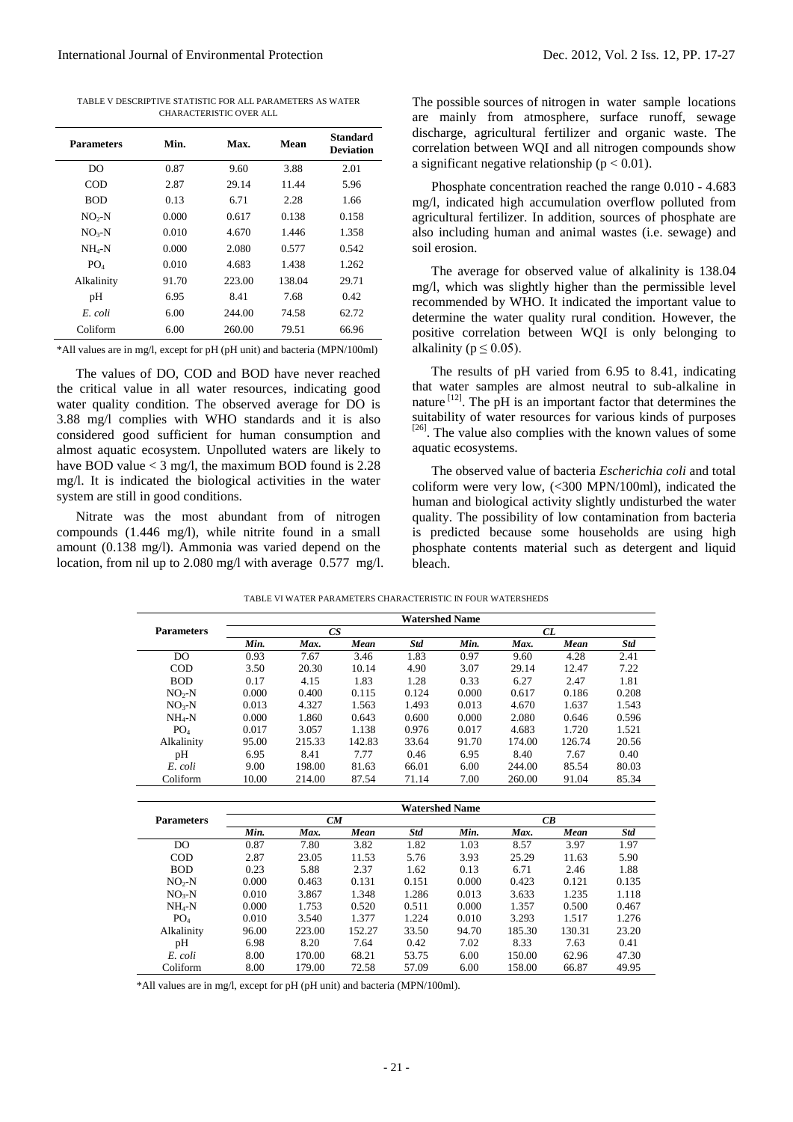TABLE V DESCRIPTIVE STATISTIC FOR ALL PARAMETERS AS WATER CHARACTERISTIC OVER ALL

| <b>Parameters</b> | Min.  | Max.   | Mean   | <b>Standard</b><br><b>Deviation</b> |
|-------------------|-------|--------|--------|-------------------------------------|
| DO                | 0.87  | 9.60   | 3.88   | 2.01                                |
| COD               | 2.87  | 29.14  | 11.44  | 5.96                                |
| <b>BOD</b>        | 0.13  | 6.71   | 2.28   | 1.66                                |
| $NO2-N$           | 0.000 | 0.617  | 0.138  | 0.158                               |
| $NO3-N$           | 0.010 | 4.670  | 1.446  | 1.358                               |
| $NH_A-N$          | 0.000 | 2.080  | 0.577  | 0.542                               |
| PO <sub>4</sub>   | 0.010 | 4.683  | 1.438  | 1.262                               |
| Alkalinity        | 91.70 | 223.00 | 138.04 | 29.71                               |
| pH                | 6.95  | 8.41   | 7.68   | 0.42                                |
| E. coli           | 6.00  | 244.00 | 74.58  | 62.72                               |
| Coliform          | 6.00  | 260.00 | 79.51  | 66.96                               |

\*All values are in mg/l, except for pH (pH unit) and bacteria (MPN/100ml)

The values of DO, COD and BOD have never reached the critical value in all water resources, indicating good water quality condition. The observed average for DO is 3.88 mg/l complies with WHO standards and it is also considered good sufficient for human consumption and almost aquatic ecosystem. Unpolluted waters are likely to have BOD value  $<$  3 mg/l, the maximum BOD found is 2.28 mg/l. It is indicated the biological activities in the water system are still in good conditions.

Nitrate was the most abundant from of nitrogen compounds (1.446 mg/l), while nitrite found in a small amount (0.138 mg/l). Ammonia was varied depend on the location, from nil up to 2.080 mg/l with average 0.577 mg/l. The possible sources of nitrogen in water sample locations are mainly from atmosphere, surface runoff, sewage discharge, agricultural fertilizer and organic waste. The correlation between WQI and all nitrogen compounds show a significant negative relationship ( $p < 0.01$ ).

Phosphate concentration reached the range 0.010 - 4.683 mg/l, indicated high accumulation overflow polluted from agricultural fertilizer. In addition, sources of phosphate are also including human and animal wastes (i.e. sewage) and soil erosion.

The average for observed value of alkalinity is 138.04 mg/l, which was slightly higher than the permissible level recommended by WHO. It indicated the important value to determine the water quality rural condition. However, the positive correlation between WQI is only belonging to alkalinity ( $p \leq 0.05$ ).

The results of pH varied from 6.95 to 8.41, indicating that water samples are almost neutral to sub-alkaline in nature  $\left[12\right]$ . The pH is an important factor that determines the suitability of water resources for various kinds of purposes  $[26]$ . The value also complies with the known values of some aquatic ecosystems.

The observed value of bacteria *Escherichia coli* and total coliform were very low, (<300 MPN/100ml), indicated the human and biological activity slightly undisturbed the water quality. The possibility of low contamination from bacteria is predicted because some households are using high phosphate contents material such as detergent and liquid bleach.

|  | TABLE VI WATER PARAMETERS CHARACTERISTIC IN FOUR WATERSHEDS |  |
|--|-------------------------------------------------------------|--|

|                   |       |        |        | <b>Watershed Name</b> |       |        |        |            |  |  |
|-------------------|-------|--------|--------|-----------------------|-------|--------|--------|------------|--|--|
| <b>Parameters</b> |       | CS     |        |                       | CL    |        |        |            |  |  |
|                   | Min.  | Max.   | Mean   | <b>Std</b>            | Min.  | Max.   | Mean   | <b>Std</b> |  |  |
| D <sub>O</sub>    | 0.93  | 7.67   | 3.46   | 1.83                  | 0.97  | 9.60   | 4.28   | 2.41       |  |  |
| $\rm{COD}$        | 3.50  | 20.30  | 10.14  | 4.90                  | 3.07  | 29.14  | 12.47  | 7.22       |  |  |
| <b>BOD</b>        | 0.17  | 4.15   | 1.83   | 1.28                  | 0.33  | 6.27   | 2.47   | 1.81       |  |  |
| $NO2-N$           | 0.000 | 0.400  | 0.115  | 0.124                 | 0.000 | 0.617  | 0.186  | 0.208      |  |  |
| $NO3-N$           | 0.013 | 4.327  | 1.563  | 1.493                 | 0.013 | 4.670  | 1.637  | 1.543      |  |  |
| $NH_4-N$          | 0.000 | 1.860  | 0.643  | 0.600                 | 0.000 | 2.080  | 0.646  | 0.596      |  |  |
| PO <sub>4</sub>   | 0.017 | 3.057  | 1.138  | 0.976                 | 0.017 | 4.683  | 1.720  | 1.521      |  |  |
| Alkalinity        | 95.00 | 215.33 | 142.83 | 33.64                 | 91.70 | 174.00 | 126.74 | 20.56      |  |  |
| pH                | 6.95  | 8.41   | 7.77   | 0.46                  | 6.95  | 8.40   | 7.67   | 0.40       |  |  |
| E. coli           | 9.00  | 198.00 | 81.63  | 66.01                 | 6.00  | 244.00 | 85.54  | 80.03      |  |  |
| Coliform          | 10.00 | 214.00 | 87.54  | 71.14                 | 7.00  | 260.00 | 91.04  | 85.34      |  |  |
|                   |       |        |        |                       |       |        |        |            |  |  |
|                   |       |        |        | <b>Watershed Name</b> |       |        |        |            |  |  |
| <b>Parameters</b> |       | CM     |        |                       |       |        | CB     |            |  |  |
|                   | Min.  | Max.   | Mean   | <b>Std</b>            | Min.  | Max.   | Mean   | <b>Std</b> |  |  |
| D <sub>O</sub>    | 0.87  | 7.80   | 3.82   | 1.82                  | 1.03  | 8.57   | 3.97   | 1.97       |  |  |
| $\rm{COD}$        | 2.87  | 23.05  | 11.53  | 5.76                  | 3.93  | 25.29  | 11.63  | 5.90       |  |  |
| <b>BOD</b>        | 0.23  | 5.88   | 2.37   | 1.62                  | 0.13  | 6.71   | 2.46   | 1.88       |  |  |
| $NO2-N$           | 0.000 | 0.463  | 0.131  | 0.151                 | 0.000 | 0.423  | 0.121  | 0.135      |  |  |
| $NO3-N$           | 0.010 | 3.867  | 1.348  | 1.286                 | 0.013 | 3.633  | 1.235  | 1.118      |  |  |
| $NH_4-N$          | 0.000 | 1.753  | 0.520  | 0.511                 | 0.000 | 1.357  | 0.500  | 0.467      |  |  |
| PO <sub>4</sub>   | 0.010 | 3.540  | 1.377  | 1.224                 | 0.010 | 3.293  | 1.517  | 1.276      |  |  |
| Alkalinity        | 96.00 | 223.00 | 152.27 | 33.50                 | 94.70 | 185.30 | 130.31 | 23.20      |  |  |
| pH                | 6.98  | 8.20   | 7.64   | 0.42                  | 7.02  | 8.33   | 7.63   | 0.41       |  |  |
| E. coli           | 8.00  | 170.00 | 68.21  | 53.75                 | 6.00  | 150.00 | 62.96  | 47.30      |  |  |
| Coliform          | 8.00  | 179.00 | 72.58  | 57.09                 | 6.00  | 158.00 | 66.87  | 49.95      |  |  |

\*All values are in mg/l, except for pH (pH unit) and bacteria (MPN/100ml).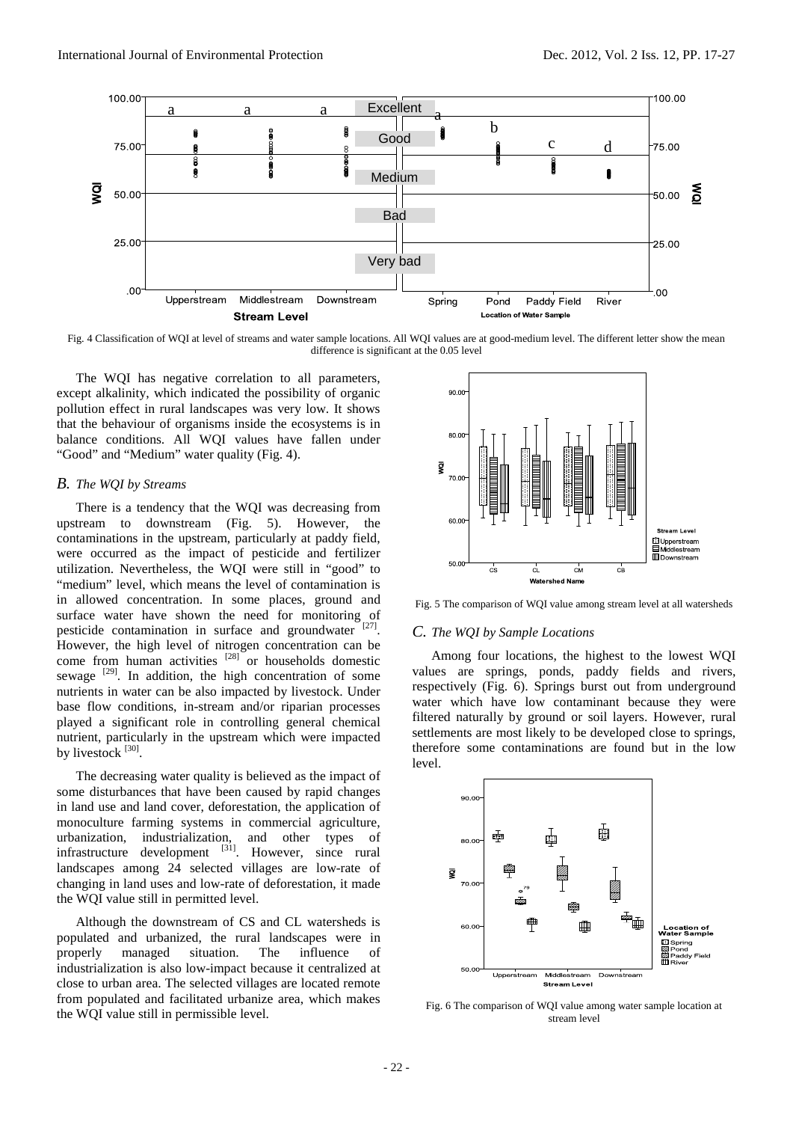

Fig. 4 Classification of WQI at level of streams and water sample locations. All WQI values are at good-medium level. The different letter show the mean difference is significant at the 0.05 level

The WQI has negative correlation to all parameters, except alkalinity, which indicated the possibility of organic pollution effect in rural landscapes was very low. It shows that the behaviour of organisms inside the ecosystems is in balance conditions. All WQI values have fallen under "Good" and "Medium" water quality (Fig. 4).

## *B. The WQI by Streams*

There is a tendency that the WQI was decreasing from upstream to downstream (Fig. 5). However, the contaminations in the upstream, particularly at paddy field, were occurred as the impact of pesticide and fertilizer utilization. Nevertheless, the WQI were still in "good" to "medium" level, which means the level of contamination is in allowed concentration. In some places, ground and surface water have shown the need for monitoring of pesticide contamination in surface and groundwater [27]. However, the high level of nitrogen concentration can be come from human activities  $[28]$  or households domestic sewage <sup>[29]</sup>. In addition, the high concentration of some nutrients in water can be also impacted by livestock. Under base flow conditions, in-stream and/or riparian processes played a significant role in controlling general chemical nutrient, particularly in the upstream which were impacted by livestock [30].

The decreasing water quality is believed as the impact of some disturbances that have been caused by rapid changes in land use and land cover, deforestation, the application of monoculture farming systems in commercial agriculture, urbanization, industrialization, and other types of infrastructure development <sup>[31]</sup>. However, since rural landscapes among 24 selected villages are low-rate of changing in land uses and low-rate of deforestation, it made the WQI value still in permitted level.

Although the downstream of CS and CL watersheds is populated and urbanized, the rural landscapes were in properly managed situation. The influence of industrialization is also low-impact because it centralized at close to urban area. The selected villages are located remote from populated and facilitated urbanize area, which makes the WQI value still in permissible level.



Fig. 5 The comparison of WQI value among stream level at all watersheds

# *C. The WQI by Sample Locations*

Among four locations, the highest to the lowest WQI values are springs, ponds, paddy fields and rivers, respectively (Fig. 6). Springs burst out from underground water which have low contaminant because they were filtered naturally by ground or soil layers. However, rural settlements are most likely to be developed close to springs, therefore some contaminations are found but in the low level.



Fig. 6 The comparison of WQI value among water sample location at stream level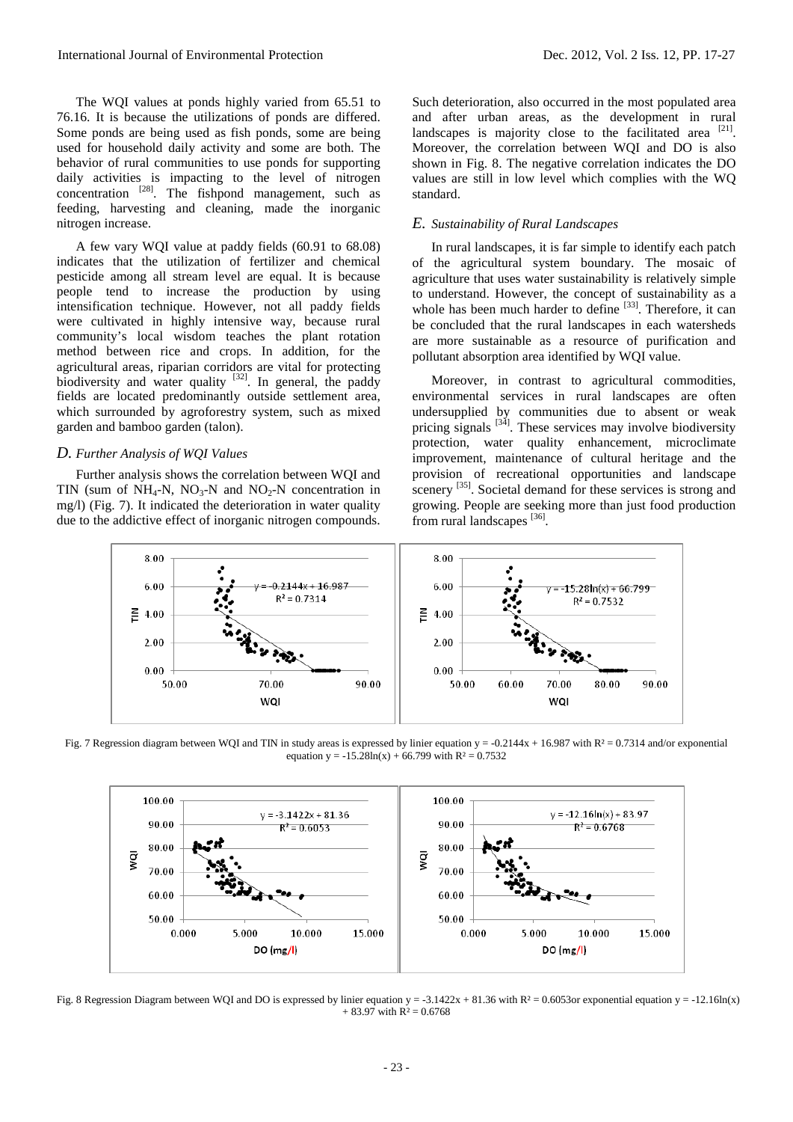The WQI values at ponds highly varied from 65.51 to 76.16. It is because the utilizations of ponds are differed. Some ponds are being used as fish ponds, some are being used for household daily activity and some are both. The behavior of rural communities to use ponds for supporting daily activities is impacting to the level of nitrogen concentration  $^{[28]}$ . The fishpond management, such as feeding, harvesting and cleaning, made the inorganic nitrogen increase.

A few vary WQI value at paddy fields (60.91 to 68.08) indicates that the utilization of fertilizer and chemical pesticide among all stream level are equal. It is because people tend to increase the production by using intensification technique. However, not all paddy fields were cultivated in highly intensive way, because rural community's local wisdom teaches the plant rotation method between rice and crops. In addition, for the agricultural areas, riparian corridors are vital for protecting biodiversity and water quality  $[32]$ . In general, the paddy fields are located predominantly outside settlement area, which surrounded by agroforestry system, such as mixed garden and bamboo garden (talon).

# *D. Further Analysis of WQI Values*

Further analysis shows the correlation between WQI and TIN (sum of  $NH_4-N$ ,  $NO_3-N$  and  $NO_2-N$  concentration in mg/l) (Fig. 7). It indicated the deterioration in water quality due to the addictive effect of inorganic nitrogen compounds.

Such deterioration, also occurred in the most populated area and after urban areas, as the development in rural landscapes is majority close to the facilitated area  $[21]$ . Moreover, the correlation between WQI and DO is also shown in Fig. 8. The negative correlation indicates the DO values are still in low level which complies with the WQ standard.

# *E. Sustainability of Rural Landscapes*

In rural landscapes, it is far simple to identify each patch of the agricultural system boundary. The mosaic of agriculture that uses water sustainability is relatively simple to understand. However, the concept of sustainability as a whole has been much harder to define  $[33]$ . Therefore, it can be concluded that the rural landscapes in each watersheds are more sustainable as a resource of purification and pollutant absorption area identified by WQI value.

Moreover, in contrast to agricultural commodities, environmental services in rural landscapes are often undersupplied by communities due to absent or weak pricing signals  $\begin{bmatrix} 34 \end{bmatrix}$ . These services may involve biodiversity protection, water quality enhancement, microclimate improvement, maintenance of cultural heritage and the provision of recreational opportunities and landscape scenery <sup>[35]</sup>. Societal demand for these services is strong and growing. People are seeking more than just food production from rural landscapes [36].



Fig. 7 Regression diagram between WQI and TIN in study areas is expressed by linier equation  $y = -0.2144x + 16.987$  with  $R^2 = 0.7314$  and/or exponential equation y =  $-15.28\ln(x) + 66.799$  with R<sup>2</sup> = 0.7532



Fig. 8 Regression Diagram between WQI and DO is expressed by linier equation  $y = -3.1422x + 81.36$  with  $R^2 = 0.6053$  exponential equation  $y = -12.16$ ln(x)  $+ 83.97$  with  $R^2 = 0.6768$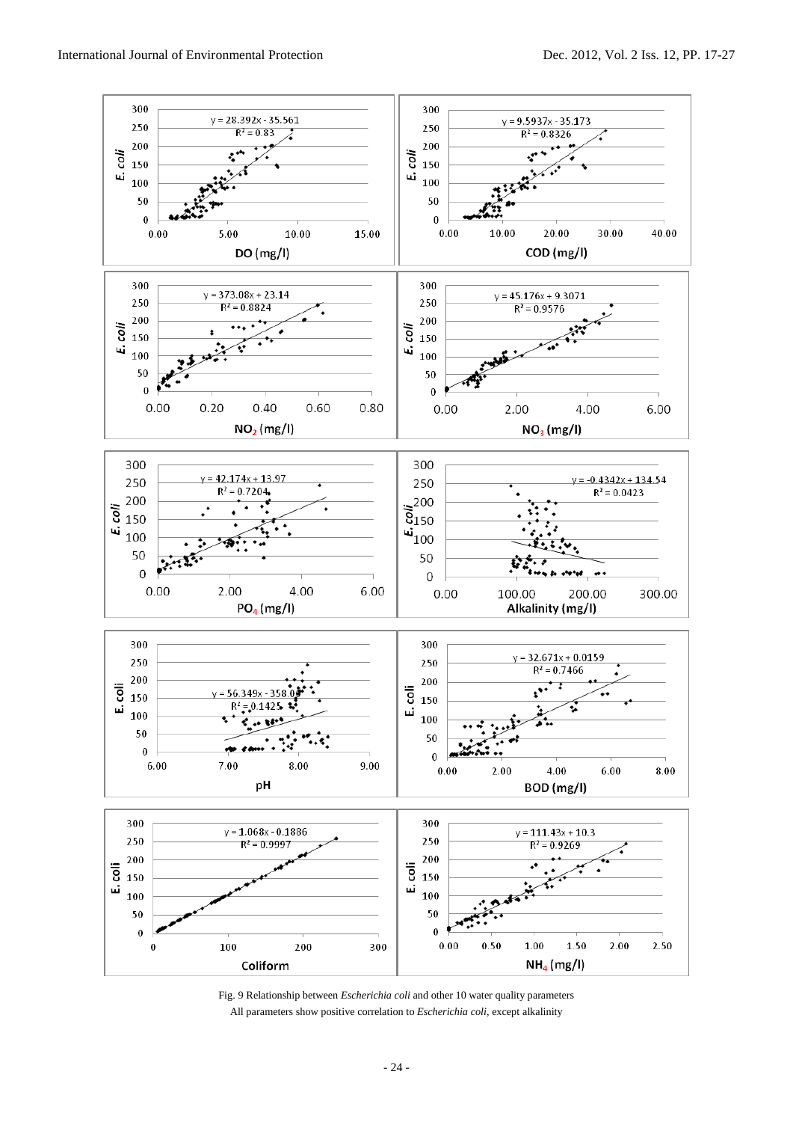

Fig. 9 Relationship between *Escherichia coli* and other 10 water quality parameters All parameters show positive correlation to *Escherichia coli*, except alkalinity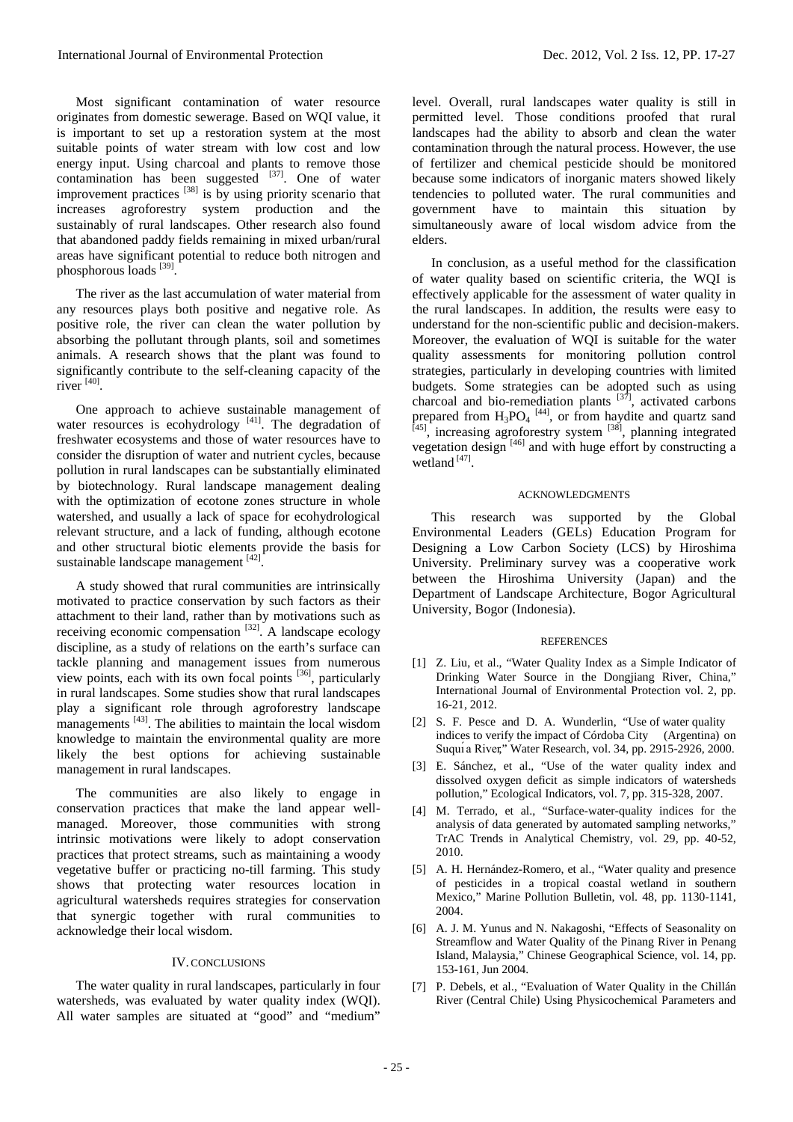Most significant contamination of water resource originates from domestic sewerage. Based on WQI value, it is important to set up a restoration system at the most suitable points of water stream with low cost and low energy input. Using charcoal and plants to remove those contamination has been suggested  $^{[37]}$ . One of water improvement practices<sup>[38]</sup> is by using priority scenario that increases agroforestry system production and the sustainably of rural landscapes. Other research also found

that abandoned paddy fields remaining in mixed urban/rural areas have significant potential to reduce both nitrogen and phosphorous loads [39].

The river as the last accumulation of water material from any resources plays both positive and negative role. As positive role, the river can clean the water pollution by absorbing the pollutant through plants, soil and sometimes animals. A research shows that the plant was found to significantly contribute to the self-cleaning capacity of the river  $[40]$ .

One approach to achieve sustainable management of water resources is ecohydrology  $[41]$ . The degradation of freshwater ecosystems and those of water resources have to consider the disruption of water and nutrient cycles, because pollution in rural landscapes can be substantially eliminated by biotechnology. Rural landscape management dealing with the optimization of ecotone zones structure in whole watershed, and usually a lack of space for ecohydrological relevant structure, and a lack of funding, although ecotone and other structural biotic elements provide the basis for sustainable landscape management [42].

A study showed that rural communities are intrinsically motivated to practice conservation by such factors as their attachment to their land, rather than by motivations such as receiving economic compensation [32]. A landscape ecology discipline, as a study of relations on the earth's surface can tackle planning and management issues from numerous view points, each with its own focal points  $[36]$ , particularly in rural landscapes. Some studies show that rural landscapes play a significant role through agroforestry landscape managements  $^{[43]}$ . The abilities to maintain the local wisdom knowledge to maintain the environmental quality are more likely the best options for achieving sustainable management in rural landscapes.

The communities are also likely to engage in conservation practices that make the land appear wellmanaged. Moreover, those communities with strong intrinsic motivations were likely to adopt conservation practices that protect streams, such as maintaining a woody vegetative buffer or practicing no-till farming. This study shows that protecting water resources location in agricultural watersheds requires strategies for conservation that synergic together with rural communities to acknowledge their local wisdom.

# IV. CONCLUSIONS

The water quality in rural landscapes, particularly in four watersheds, was evaluated by water quality index (WQI). All water samples are situated at "good" and "medium"

level. Overall, rural landscapes water quality is still in permitted level. Those conditions proofed that rural landscapes had the ability to absorb and clean the water contamination through the natural process. However, the use of fertilizer and chemical pesticide should be monitored because some indicators of inorganic maters showed likely tendencies to polluted water. The rural communities and government have to maintain this situation by simultaneously aware of local wisdom advice from the elders.

In conclusion, as a useful method for the classification of water quality based on scientific criteria, the WQI is effectively applicable for the assessment of water quality in the rural landscapes. In addition, the results were easy to understand for the non-scientific public and decision-makers. Moreover, the evaluation of WQI is suitable for the water quality assessments for monitoring pollution control strategies, particularly in developing countries with limited budgets. Some strategies can be adopted such as using charcoal and bio-remediation plants [37], activated carbons prepared from  $H_3PO_4$ <sup>[44]</sup>, or from haydite and quartz sand  $[45]$ , increasing agroforestry system  $[38]$ , planning integrated vegetation design  $[46]$  and with huge effort by constructing a wetland  $[47]$ .

#### ACKNOWLEDGMENTS

This research was supported by the Global Environmental Leaders (GELs) Education Program for Designing a Low Carbon Society (LCS) by Hiroshima University. Preliminary survey was a cooperative work between the Hiroshima University (Japan) and the Department of Landscape Architecture, Bogor Agricultural University, Bogor (Indonesia).

### **REFERENCES**

- [1] Z. Liu, et al., "Water Quality Index as a Simple Indicator of Drinking Water Source in the Dongjiang River, China," International Journal of Environmental Protection vol. 2, pp. 16-21, 2012.
- [2] S. F. Pesce and D. A. Wunderlin, "Use of water quality indices to verify the impact of Córdoba City (Argentina) on Suquı́ a River," Water Research, vol. 34, pp. 2915-2926, 2000.
- [3] E. Sánchez, et al., "Use of the water quality index and dissolved oxygen deficit as simple indicators of watersheds pollution," Ecological Indicators, vol. 7, pp. 315-328, 2007.
- [4] M. Terrado, et al., "Surface-water-quality indices for the analysis of data generated by automated sampling networks," TrAC Trends in Analytical Chemistry, vol. 29, pp. 40-52, 2010.
- [5] A. H. Hernández-Romero, et al., "Water quality and presence of pesticides in a tropical coastal wetland in southern Mexico," Marine Pollution Bulletin, vol. 48, pp. 1130-1141, 2004.
- [6] A. J. M. Yunus and N. Nakagoshi, "Effects of Seasonality on Streamflow and Water Quality of the Pinang River in Penang Island, Malaysia," Chinese Geographical Science, vol. 14, pp. 153-161, Jun 2004.
- [7] P. Debels, et al., "Evaluation of Water Quality in the Chillán River (Central Chile) Using Physicochemical Parameters and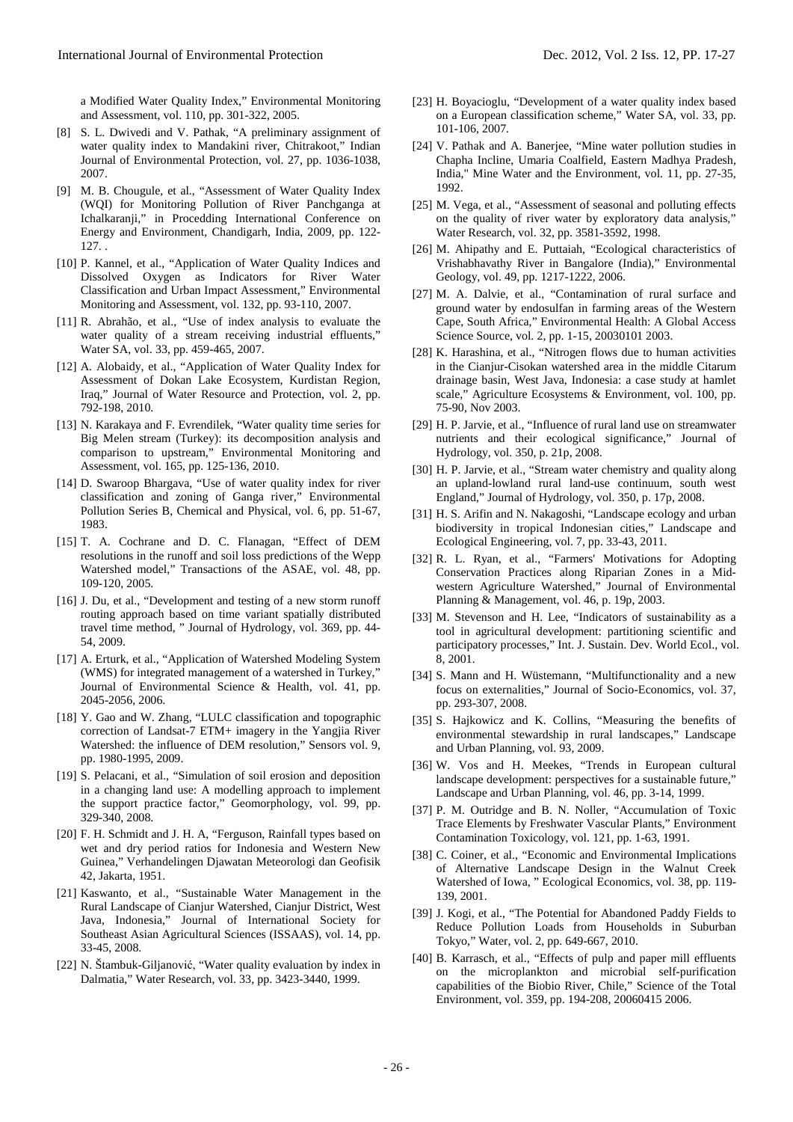a Modified Water Quality Index," Environmental Monitoring and Assessment, vol. 110, pp. 301-322, 2005.

- [8] S. L. Dwivedi and V. Pathak, "A preliminary assignment of water quality index to Mandakini river, Chitrakoot," Indian Journal of Environmental Protection, vol. 27, pp. 1036-1038, 2007.
- [9] M. B. Chougule, et al., "Assessment of Water Quality Index (WQI) for Monitoring Pollution of River Panchganga at Ichalkaranji," in Procedding International Conference on Energy and Environment, Chandigarh, India, 2009, pp. 122- 127. .
- [10] P. Kannel, et al., "Application of Water Quality Indices and Dissolved Oxygen as Indicators for River Water Classification and Urban Impact Assessment," Environmental Monitoring and Assessment, vol. 132, pp. 93-110, 2007.
- [11] R. Abrahão, et al., "Use of index analysis to evaluate the water quality of a stream receiving industrial effluents," Water SA, vol. 33, pp. 459-465, 2007.
- [12] A. Alobaidy, et al., "Application of Water Quality Index for Assessment of Dokan Lake Ecosystem, Kurdistan Region, Iraq," Journal of Water Resource and Protection, vol. 2, pp. 792-198, 2010.
- [13] N. Karakaya and F. Evrendilek, "Water quality time series for Big Melen stream (Turkey): its decomposition analysis and comparison to upstream," Environmental Monitoring and Assessment, vol. 165, pp. 125-136, 2010.
- [14] D. Swaroop Bhargava, "Use of water quality index for river classification and zoning of Ganga river," Environmental Pollution Series B, Chemical and Physical, vol. 6, pp. 51-67, 1983.
- [15] T. A. Cochrane and D. C. Flanagan, "Effect of DEM resolutions in the runoff and soil loss predictions of the Wepp Watershed model," Transactions of the ASAE, vol. 48, pp. 109-120, 2005.
- [16] J. Du, et al., "Development and testing of a new storm runoff routing approach based on time variant spatially distributed travel time method, " Journal of Hydrology, vol. 369, pp. 44- 54, 2009.
- [17] A. Erturk, et al., "Application of Watershed Modeling System (WMS) for integrated management of a watershed in Turkey," Journal of Environmental Science & Health, vol. 41, pp. 2045-2056, 2006.
- [18] Y. Gao and W. Zhang, "LULC classification and topographic correction of Landsat-7 ETM+ imagery in the Yangjia River Watershed: the influence of DEM resolution," Sensors vol. 9, pp. 1980-1995, 2009.
- [19] S. Pelacani, et al., "Simulation of soil erosion and deposition in a changing land use: A modelling approach to implement the support practice factor," Geomorphology, vol. 99, pp. 329-340, 2008.
- [20] F. H. Schmidt and J. H. A, "Ferguson, Rainfall types based on wet and dry period ratios for Indonesia and Western New Guinea," Verhandelingen Djawatan Meteorologi dan Geofisik 42, Jakarta, 1951.
- [21] Kaswanto, et al., "Sustainable Water Management in the Rural Landscape of Cianjur Watershed, Cianjur District, West Java, Indonesia," Journal of International Society for Southeast Asian Agricultural Sciences (ISSAAS), vol. 14, pp. 33-45, 2008.
- [22] N. Štambuk-Giljanović, "Water quality evaluation by index in Dalmatia," Water Research, vol. 33, pp. 3423-3440, 1999.
- [23] H. Boyacioglu, "Development of a water quality index based on a European classification scheme," Water SA, vol. 33, pp. 101-106, 2007.
- [24] V. Pathak and A. Baneriee, "Mine water pollution studies in Chapha Incline, Umaria Coalfield, Eastern Madhya Pradesh, India," Mine Water and the Environment, vol. 11, pp. 27-35, 1992.
- [25] M. Vega, et al., "Assessment of seasonal and polluting effects on the quality of river water by exploratory data analysis," Water Research, vol. 32, pp. 3581-3592, 1998.
- [26] M. Ahipathy and E. Puttaiah, "Ecological characteristics of Vrishabhavathy River in Bangalore (India)," Environmental Geology, vol. 49, pp. 1217-1222, 2006.
- [27] M. A. Dalvie, et al., "Contamination of rural surface and ground water by endosulfan in farming areas of the Western Cape, South Africa," Environmental Health: A Global Access Science Source, vol. 2, pp. 1-15, 20030101 2003.
- [28] K. Harashina, et al., "Nitrogen flows due to human activities in the Cianjur-Cisokan watershed area in the middle Citarum drainage basin, West Java, Indonesia: a case study at hamlet scale," Agriculture Ecosystems & Environment, vol. 100, pp. 75-90, Nov 2003.
- [29] H. P. Jarvie, et al., "Influence of rural land use on streamwater nutrients and their ecological significance," Journal of Hydrology, vol. 350, p. 21p, 2008.
- [30] H. P. Jarvie, et al., "Stream water chemistry and quality along an upland-lowland rural land-use continuum, south west England," Journal of Hydrology, vol. 350, p. 17p, 2008.
- [31] H. S. Arifin and N. Nakagoshi, "Landscape ecology and urban biodiversity in tropical Indonesian cities," Landscape and Ecological Engineering, vol. 7, pp. 33-43, 2011.
- [32] R. L. Ryan, et al., "Farmers' Motivations for Adopting Conservation Practices along Riparian Zones in a Midwestern Agriculture Watershed," Journal of Environmental Planning & Management, vol. 46, p. 19p, 2003.
- [33] M. Stevenson and H. Lee, "Indicators of sustainability as a tool in agricultural development: partitioning scientific and participatory processes," Int. J. Sustain. Dev. World Ecol., vol. 8, 2001.
- [34] S. Mann and H. Wüstemann, "Multifunctionality and a new focus on externalities," Journal of Socio-Economics, vol. 37, pp. 293-307, 2008.
- [35] S. Hajkowicz and K. Collins, "Measuring the benefits of environmental stewardship in rural landscapes," Landscape and Urban Planning, vol. 93, 2009.
- [36] W. Vos and H. Meekes, "Trends in European cultural landscape development: perspectives for a sustainable future," Landscape and Urban Planning, vol. 46, pp. 3-14, 1999.
- [37] P. M. Outridge and B. N. Noller, "Accumulation of Toxic Trace Elements by Freshwater Vascular Plants," Environment Contamination Toxicology, vol. 121, pp. 1-63, 1991.
- [38] C. Coiner, et al., "Economic and Environmental Implications of Alternative Landscape Design in the Walnut Creek Watershed of Iowa, " Ecological Economics, vol. 38, pp. 119- 139, 2001.
- [39] J. Kogi, et al., "The Potential for Abandoned Paddy Fields to Reduce Pollution Loads from Households in Suburban Tokyo," Water, vol. 2, pp. 649-667, 2010.
- [40] B. Karrasch, et al., "Effects of pulp and paper mill effluents on the microplankton and microbial self-purification capabilities of the Biobio River, Chile," Science of the Total Environment, vol. 359, pp. 194-208, 20060415 2006.